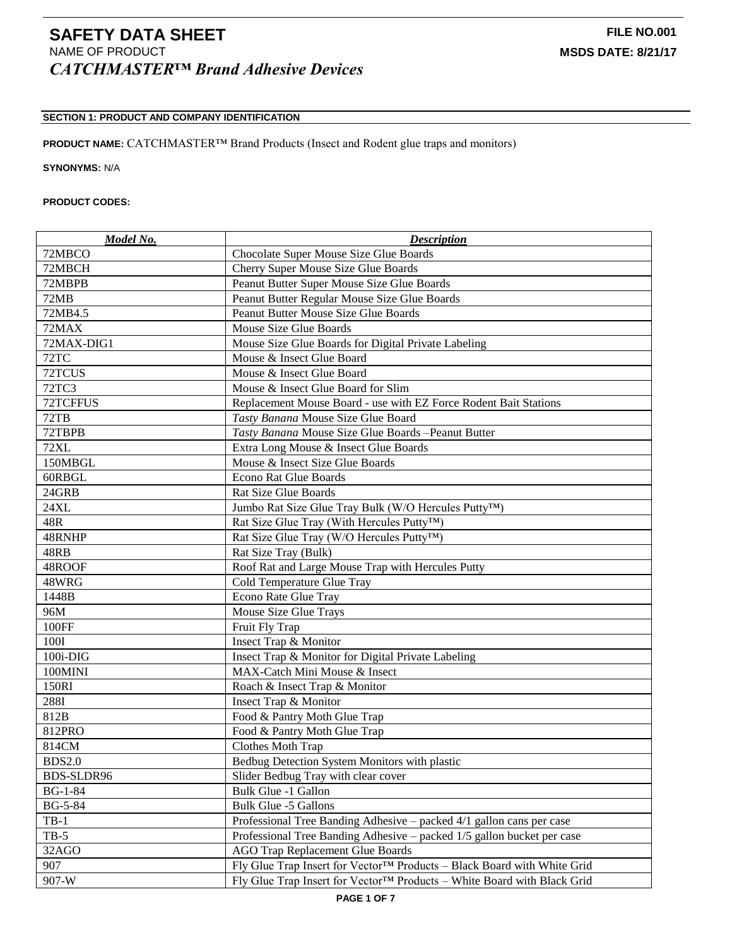# **SECTION 1: PRODUCT AND COMPANY IDENTIFICATION**

**PRODUCT NAME:** CATCHMASTER™ Brand Products (Insect and Rodent glue traps and monitors)

**SYNONYMS:** N/A

## **PRODUCT CODES:**

| Model No.      | <b>Description</b>                                                      |
|----------------|-------------------------------------------------------------------------|
| 72MBCO         | Chocolate Super Mouse Size Glue Boards                                  |
| 72MBCH         | Cherry Super Mouse Size Glue Boards                                     |
| 72MBPB         | Peanut Butter Super Mouse Size Glue Boards                              |
| 72MB           | Peanut Butter Regular Mouse Size Glue Boards                            |
| 72MB4.5        | Peanut Butter Mouse Size Glue Boards                                    |
| 72MAX          | Mouse Size Glue Boards                                                  |
| 72MAX-DIG1     | Mouse Size Glue Boards for Digital Private Labeling                     |
| 72TC           | Mouse & Insect Glue Board                                               |
| 72TCUS         | Mouse & Insect Glue Board                                               |
| <b>72TC3</b>   | Mouse & Insect Glue Board for Slim                                      |
| 72TCFFUS       | Replacement Mouse Board - use with EZ Force Rodent Bait Stations        |
| 72TB           | Tasty Banana Mouse Size Glue Board                                      |
| 72TBPB         | Tasty Banana Mouse Size Glue Boards -Peanut Butter                      |
| <b>72XL</b>    | Extra Long Mouse & Insect Glue Boards                                   |
| 150MBGL        | Mouse & Insect Size Glue Boards                                         |
| 60RBGL         | <b>Econo Rat Glue Boards</b>                                            |
| 24GRB          | <b>Rat Size Glue Boards</b>                                             |
| 24XL           | Jumbo Rat Size Glue Tray Bulk (W/O Hercules Putty <sup>TM</sup> )       |
| 48R            | Rat Size Glue Tray (With Hercules Putty™)                               |
| 48RNHP         | Rat Size Glue Tray (W/O Hercules Putty <sup>TM</sup> )                  |
| 48RB           | Rat Size Tray (Bulk)                                                    |
| 48ROOF         | Roof Rat and Large Mouse Trap with Hercules Putty                       |
| 48WRG          | Cold Temperature Glue Tray                                              |
| 1448B          | Econo Rate Glue Tray                                                    |
| 96M            | Mouse Size Glue Trays                                                   |
| 100FF          | Fruit Fly Trap                                                          |
| 100I           | Insect Trap & Monitor                                                   |
| 100i-DIG       | Insect Trap & Monitor for Digital Private Labeling                      |
| 100MINI        | MAX-Catch Mini Mouse & Insect                                           |
| 150RI          | Roach & Insect Trap & Monitor                                           |
| 288I           | Insect Trap & Monitor                                                   |
| 812B           | Food & Pantry Moth Glue Trap                                            |
| 812PRO         | Food & Pantry Moth Glue Trap                                            |
| 814CM          | Clothes Moth Trap                                                       |
| <b>BDS2.0</b>  | Bedbug Detection System Monitors with plastic                           |
| BDS-SLDR96     | Slider Bedbug Tray with clear cover                                     |
| $BG-1-84$      | Bulk Glue -1 Gallon                                                     |
| <b>BG-5-84</b> | <b>Bulk Glue -5 Gallons</b>                                             |
| $TB-1$         | Professional Tree Banding Adhesive – packed 4/1 gallon cans per case    |
| $TB-5$         | Professional Tree Banding Adhesive – packed 1/5 gallon bucket per case  |
| 32AGO          | <b>AGO Trap Replacement Glue Boards</b>                                 |
| 907            | Fly Glue Trap Insert for Vector™ Products – Black Board with White Grid |
| 907-W          | Fly Glue Trap Insert for Vector™ Products - White Board with Black Grid |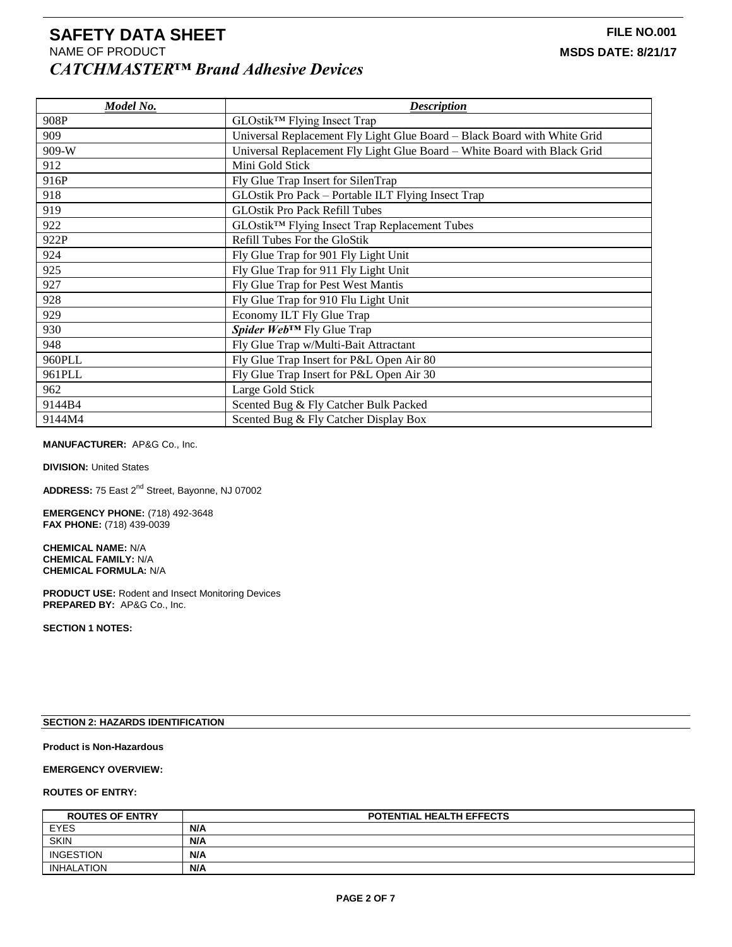| Model No. | <b>Description</b>                                                       |
|-----------|--------------------------------------------------------------------------|
| 908P      | GLOstik <sup>™</sup> Flying Insect Trap                                  |
| 909       | Universal Replacement Fly Light Glue Board - Black Board with White Grid |
| 909-W     | Universal Replacement Fly Light Glue Board - White Board with Black Grid |
| 912       | Mini Gold Stick                                                          |
| 916P      | Fly Glue Trap Insert for SilenTrap                                       |
| 918       | GLOstik Pro Pack – Portable ILT Flying Insect Trap                       |
| 919       | <b>GLOstik Pro Pack Refill Tubes</b>                                     |
| 922       | GLOstik™ Flying Insect Trap Replacement Tubes                            |
| 922P      | Refill Tubes For the GloStik                                             |
| 924       | Fly Glue Trap for 901 Fly Light Unit                                     |
| 925       | Fly Glue Trap for 911 Fly Light Unit                                     |
| 927       | Fly Glue Trap for Pest West Mantis                                       |
| 928       | Fly Glue Trap for 910 Flu Light Unit                                     |
| 929       | Economy ILT Fly Glue Trap                                                |
| 930       | Spider Web™ Fly Glue Trap                                                |
| 948       | Fly Glue Trap w/Multi-Bait Attractant                                    |
| 960PLL    | Fly Glue Trap Insert for P&L Open Air 80                                 |
| 961PLL    | Fly Glue Trap Insert for P&L Open Air 30                                 |
| 962       | Large Gold Stick                                                         |
| 9144B4    | Scented Bug & Fly Catcher Bulk Packed                                    |
| 9144M4    | Scented Bug & Fly Catcher Display Box                                    |

### **MANUFACTURER:** AP&G Co., Inc.

**DIVISION: United States** 

**ADDRESS:** 75 East 2nd Street, Bayonne, NJ 07002

**EMERGENCY PHONE:** (718) 492-3648 **FAX PHONE:** (718) 439-0039

**CHEMICAL NAME:** N/A **CHEMICAL FAMILY:** N/A **CHEMICAL FORMULA:** N/A

**PRODUCT USE:** Rodent and Insect Monitoring Devices **PREPARED BY:** AP&G Co., Inc.

**SECTION 1 NOTES:**

## **SECTION 2: HAZARDS IDENTIFICATION**

## **Product is Non-Hazardous**

## **EMERGENCY OVERVIEW:**

## **ROUTES OF ENTRY:**

| <b>ROUTES OF ENTRY</b> | <b>POTENTIAL HEALTH EFFECTS</b> |
|------------------------|---------------------------------|
| <b>EYES</b>            | N/A                             |
| <b>SKIN</b>            | N/A                             |
| <b>INGESTION</b>       | N/A                             |
| <b>INHALATION</b>      | N/A                             |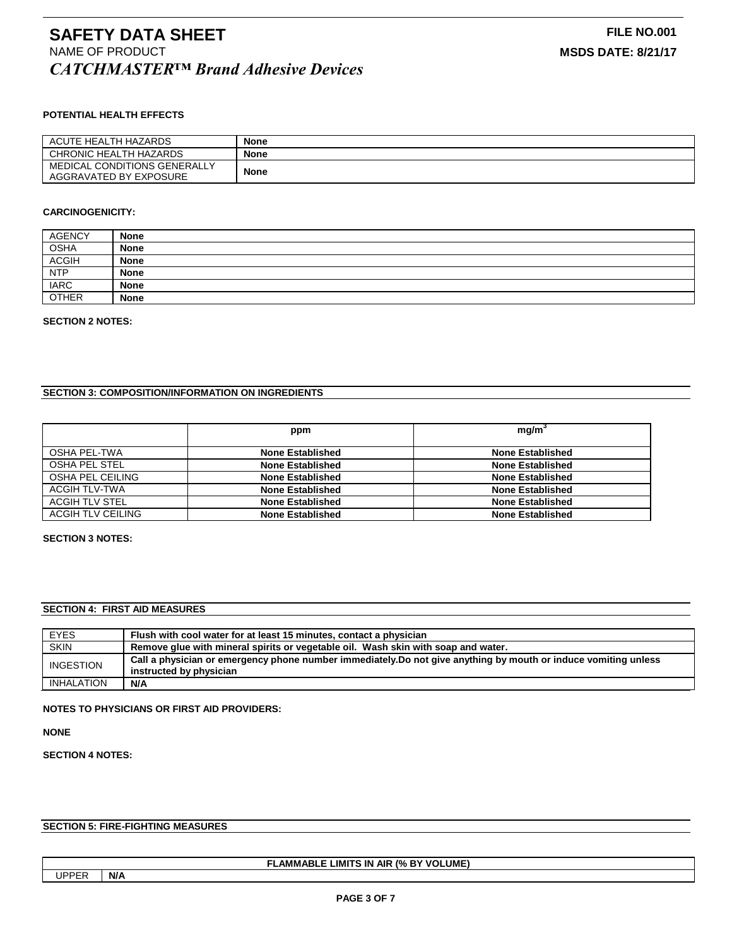## **POTENTIAL HEALTH EFFECTS**

| ACUTE HEALTH HAZARDS         | <b>None</b> |
|------------------------------|-------------|
| CHRONIC HEALTH HAZARDS       | <b>None</b> |
| MEDICAL CONDITIONS GENERALLY | <b>None</b> |
| AGGRAVATED BY EXPOSURE       |             |

#### **CARCINOGENICITY:**

| <b>AGENCY</b> | <b>None</b> |
|---------------|-------------|
| <b>OSHA</b>   | <b>None</b> |
| <b>ACGIH</b>  | <b>None</b> |
| <b>NTP</b>    | <b>None</b> |
| <b>IARC</b>   | <b>None</b> |
| <b>OTHER</b>  | <b>None</b> |

#### **SECTION 2 NOTES:**

## **SECTION 3: COMPOSITION/INFORMATION ON INGREDIENTS**

|                   | ppm                     | mq/m <sup>3</sup>       |
|-------------------|-------------------------|-------------------------|
| OSHA PEL-TWA      | <b>None Established</b> | None Established        |
| OSHA PEL STEL     | <b>None Established</b> | <b>None Established</b> |
| OSHA PEL CEILING  | <b>None Established</b> | <b>None Established</b> |
| ACGIH TLV-TWA     | <b>None Established</b> | <b>None Established</b> |
| ACGIH TLV STEL    | <b>None Established</b> | <b>None Established</b> |
| ACGIH TLV CEILING | <b>None Established</b> | <b>None Established</b> |

### **SECTION 3 NOTES:**

### **SECTION 4: FIRST AID MEASURES**

| <b>EYES</b> | Flush with cool water for at least 15 minutes, contact a physician                                              |
|-------------|-----------------------------------------------------------------------------------------------------------------|
| <b>SKIN</b> | Remove glue with mineral spirits or vegetable oil. Wash skin with soap and water.                               |
| INGESTION   | Call a physician or emergency phone number immediately. Do not give anything by mouth or induce vomiting unless |
|             | instructed by physician                                                                                         |
| INHALATION  | N/A                                                                                                             |

#### **NOTES TO PHYSICIANS OR FIRST AID PROVIDERS:**

**NONE**

## **SECTION 4 NOTES:**

## **SECTION 5: FIRE-FIGHTING MEASURES**

## **FLAMMABLE LIMITS IN AIR (% BY VOLUME)**

UPPER **N/A**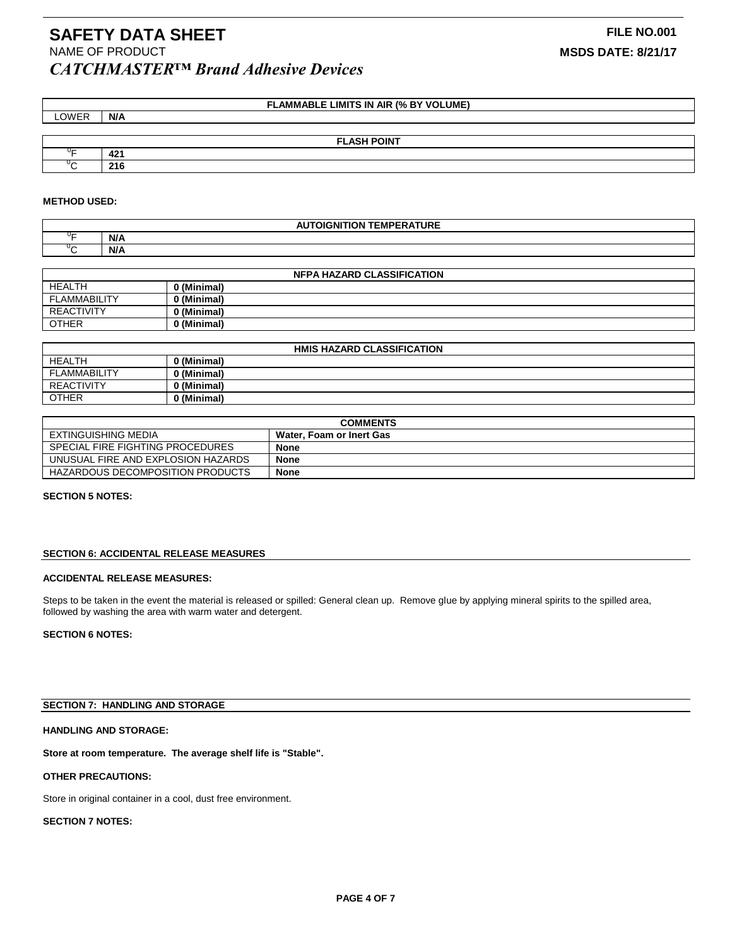## **FLAMMABLE LIMITS IN AIR (% BY VOLUME)**

| LOWER      | N/A                |
|------------|--------------------|
|            |                    |
|            | <b>FLASH POINT</b> |
| $0 -$      | 421                |
| $\sqrt{2}$ | 216                |

#### **METHOD USED:**

| $\lambda$ UTALANUTIAN TEMBER ATURE<br><b>GNITION</b><br>''FRA.<br><b>IEMP</b><br>IUKE |     |  |
|---------------------------------------------------------------------------------------|-----|--|
| $-$                                                                                   | N/A |  |
| ◡▱                                                                                    | N/A |  |

| <b>NFPA HAZARD CLASSIFICATION</b> |             |  |
|-----------------------------------|-------------|--|
| <b>HEALTH</b>                     | 0 (Minimal) |  |
| <b>FLAMMABILITY</b>               | 0 (Minimal) |  |
| <b>REACTIVITY</b>                 | 0 (Minimal) |  |
| <b>OTHER</b>                      | 0 (Minimal) |  |

| HMIS HAZARD CLASSIFICATION |             |  |
|----------------------------|-------------|--|
| <b>HEALTH</b>              | / (Minimal) |  |
| <b>FLAMMABILITY</b>        | 'Minimal) ر |  |
| <b>REACTIVITY</b>          | (Minimal)   |  |
| <b>OTHER</b>               | (Minimal)   |  |

| <b>COMMENTS</b>                    |                          |
|------------------------------------|--------------------------|
| EXTINGUISHING MEDIA                | Water, Foam or Inert Gas |
| SPECIAL FIRE FIGHTING PROCEDURES   | <b>None</b>              |
| UNUSUAL FIRE AND EXPLOSION HAZARDS | <b>None</b>              |
| HAZARDOUS DECOMPOSITION PRODUCTS   | <b>None</b>              |

#### **SECTION 5 NOTES:**

#### **SECTION 6: ACCIDENTAL RELEASE MEASURES**

## **ACCIDENTAL RELEASE MEASURES:**

Steps to be taken in the event the material is released or spilled: General clean up. Remove glue by applying mineral spirits to the spilled area, followed by washing the area with warm water and detergent.

#### **SECTION 6 NOTES:**

## **SECTION 7: HANDLING AND STORAGE**

## **HANDLING AND STORAGE:**

**Store at room temperature. The average shelf life is "Stable".**

#### **OTHER PRECAUTIONS:**

Store in original container in a cool, dust free environment.

## **SECTION 7 NOTES:**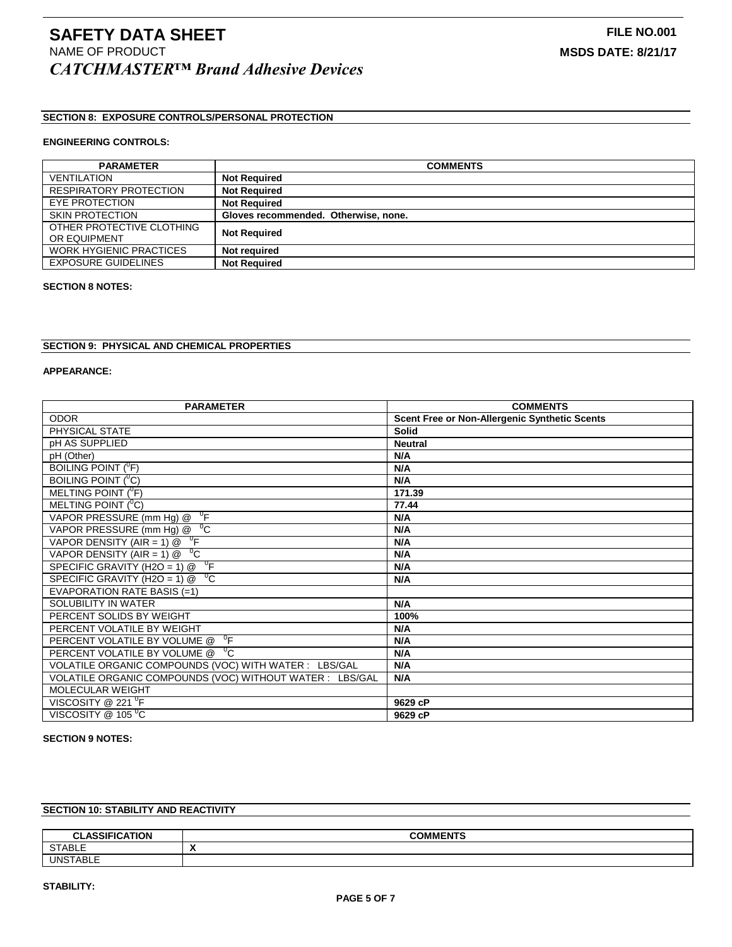# **SECTION 8: EXPOSURE CONTROLS/PERSONAL PROTECTION**

## **ENGINEERING CONTROLS:**

| <b>PARAMETER</b>               | <b>COMMENTS</b>                      |
|--------------------------------|--------------------------------------|
|                                |                                      |
| <b>VENTILATION</b>             | <b>Not Required</b>                  |
| <b>RESPIRATORY PROTECTION</b>  | <b>Not Required</b>                  |
| EYE PROTECTION                 | <b>Not Required</b>                  |
| <b>SKIN PROTECTION</b>         | Gloves recommended. Otherwise, none. |
| OTHER PROTECTIVE CLOTHING      | <b>Not Required</b>                  |
| OR EQUIPMENT                   |                                      |
| <b>WORK HYGIENIC PRACTICES</b> | Not required                         |
| <b>EXPOSURE GUIDELINES</b>     | <b>Not Required</b>                  |

#### **SECTION 8 NOTES:**

## **SECTION 9: PHYSICAL AND CHEMICAL PROPERTIES**

#### **APPEARANCE:**

| <b>PARAMETER</b>                                            | <b>COMMENTS</b>                                      |
|-------------------------------------------------------------|------------------------------------------------------|
| <b>ODOR</b>                                                 | <b>Scent Free or Non-Allergenic Synthetic Scents</b> |
| PHYSICAL STATE                                              | <b>Solid</b>                                         |
| pH AS SUPPLIED                                              | <b>Neutral</b>                                       |
| pH (Other)                                                  | N/A                                                  |
| BOILING POINT ( <sup>0</sup> F)                             | N/A                                                  |
| BOILING POINT ( <sup>0</sup> C)                             | N/A                                                  |
| MELTING POINT $(^0F)$                                       | 171.39                                               |
| MELTING POINT $(^{0}C)$                                     | 77.44                                                |
| VAPOR PRESSURE (mm Hg) $@$ <sup>0</sup> F                   | N/A                                                  |
| VAPOR PRESSURE (mm Hg) @ <sup>0</sup> C                     | N/A                                                  |
| VAPOR DENSITY (AIR = 1) $\circledR$ <sup>o</sup> F          | N/A                                                  |
| VAPOR DENSITY (AIR = 1) @ $^0C$                             | N/A                                                  |
| $\mathrm{D}_{\mathsf{F}}$<br>SPECIFIC GRAVITY (H2O = 1) $@$ | N/A                                                  |
| $^{\circ}$ C<br>SPECIFIC GRAVITY (H2O = 1) @                | N/A                                                  |
| EVAPORATION RATE BASIS (=1)                                 |                                                      |
| SOLUBILITY IN WATER                                         | N/A                                                  |
| PERCENT SOLIDS BY WEIGHT                                    | 100%                                                 |
| PERCENT VOLATILE BY WEIGHT                                  | N/A                                                  |
| $\mathrm{P}_{\mathsf{F}}$<br>PERCENT VOLATILE BY VOLUME @   | N/A                                                  |
| $^{0}C$<br>PERCENT VOLATILE BY VOLUME @                     | N/A                                                  |
| VOLATILE ORGANIC COMPOUNDS (VOC) WITH WATER : LBS/GAL       | N/A                                                  |
| VOLATILE ORGANIC COMPOUNDS (VOC) WITHOUT WATER : LBS/GAL    | N/A                                                  |
| <b>MOLECULAR WEIGHT</b>                                     |                                                      |
| VISCOSITY @ 221 $\mathrm{^0F}$                              | 9629 cP                                              |
| VISCOSITY @ 105 °C                                          | 9629 cP                                              |

## **SECTION 9 NOTES:**

# **SECTION 10: STABILITY AND REACTIVITY**

| 0.001710171011<br><u>nı</u><br>IUN<br>◡∟<br>. | <b>COMMENTS</b> |
|-----------------------------------------------|-----------------|
| <b>STABLE</b><br>ັບເ                          | . .             |
| ۱۱۸                                           |                 |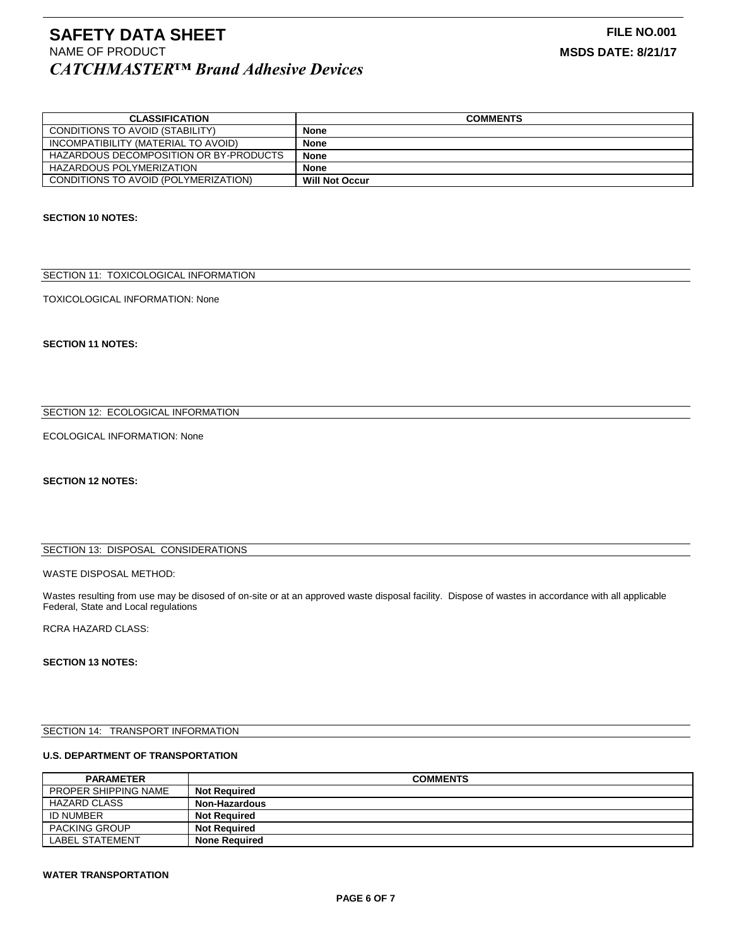| <b>CLASSIFICATION</b>                  | <b>COMMENTS</b>       |
|----------------------------------------|-----------------------|
| CONDITIONS TO AVOID (STABILITY)        | None                  |
| INCOMPATIBILITY (MATERIAL TO AVOID)    | <b>None</b>           |
| HAZARDOUS DECOMPOSITION OR BY-PRODUCTS | <b>None</b>           |
| HAZARDOUS POLYMERIZATION               | <b>None</b>           |
| CONDITIONS TO AVOID (POLYMERIZATION)   | <b>Will Not Occur</b> |

## **SECTION 10 NOTES:**

## SECTION 11: TOXICOLOGICAL INFORMATION

#### TOXICOLOGICAL INFORMATION: None

**SECTION 11 NOTES:**

## SECTION 12: ECOLOGICAL INFORMATION

## ECOLOGICAL INFORMATION: None

## **SECTION 12 NOTES:**

## SECTION 13: DISPOSAL CONSIDERATIONS

#### WASTE DISPOSAL METHOD:

Wastes resulting from use may be disosed of on-site or at an approved waste disposal facility. Dispose of wastes in accordance with all applicable Federal, State and Local regulations

## RCRA HAZARD CLASS:

#### **SECTION 13 NOTES:**

## SECTION 14: TRANSPORT INFORMATION

## **U.S. DEPARTMENT OF TRANSPORTATION**

| <b>PARAMETER</b>            | <b>COMMENTS</b>      |
|-----------------------------|----------------------|
| <b>PROPER SHIPPING NAME</b> | <b>Not Required</b>  |
| HAZARD CLASS                | <b>Non-Hazardous</b> |
| <b>ID NUMBER</b>            | <b>Not Required</b>  |
| <b>PACKING GROUP</b>        | <b>Not Required</b>  |
| LABEL STATEMENT             | <b>None Required</b> |

#### **WATER TRANSPORTATION**